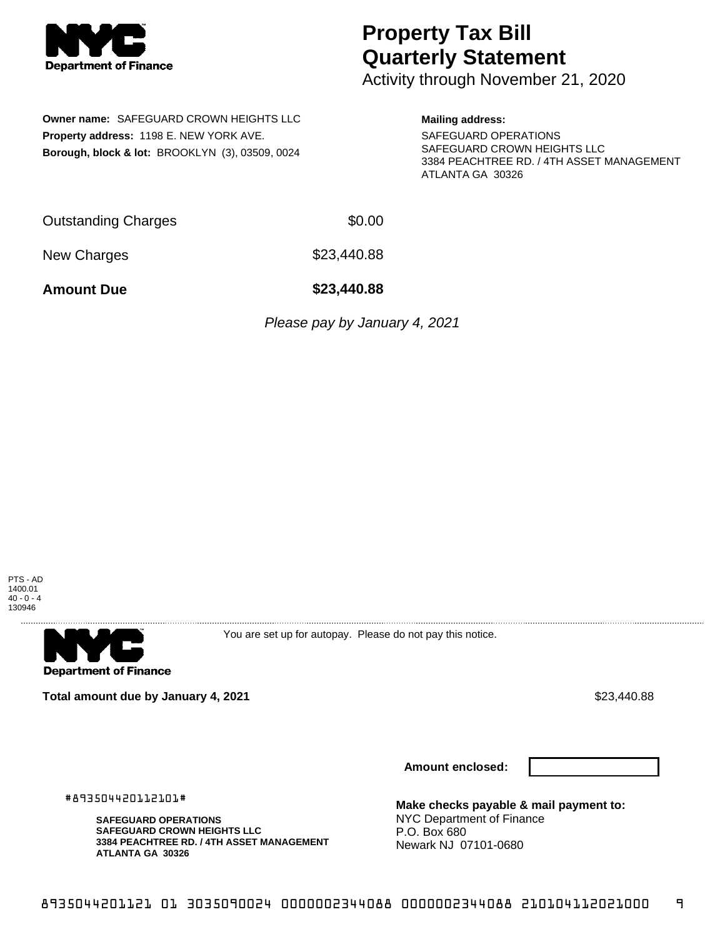

## **Property Tax Bill Quarterly Statement**

Activity through November 21, 2020

**Owner name:** SAFEGUARD CROWN HEIGHTS LLC **Property address:** 1198 E. NEW YORK AVE. **Borough, block & lot:** BROOKLYN (3), 03509, 0024

## **Mailing address:**

SAFEGUARD OPERATIONS SAFEGUARD CROWN HEIGHTS LLC 3384 PEACHTREE RD. / 4TH ASSET MANAGEMENT ATLANTA GA 30326

Outstanding Charges \$0.00

New Charges  $$23,440.88$ 

**Amount Due \$23,440.88**

Please pay by January 4, 2021



**Department of Finance** 

You are set up for autopay. Please do not pay this notice.

**Total amount due by January 4, 2021 \$23,440.88** \$23,440.88

**Amount enclosed:**

#893504420112101#

**SAFEGUARD OPERATIONS SAFEGUARD CROWN HEIGHTS LLC 3384 PEACHTREE RD. / 4TH ASSET MANAGEMENT ATLANTA GA 30326**

**Make checks payable & mail payment to:** NYC Department of Finance P.O. Box 680 Newark NJ 07101-0680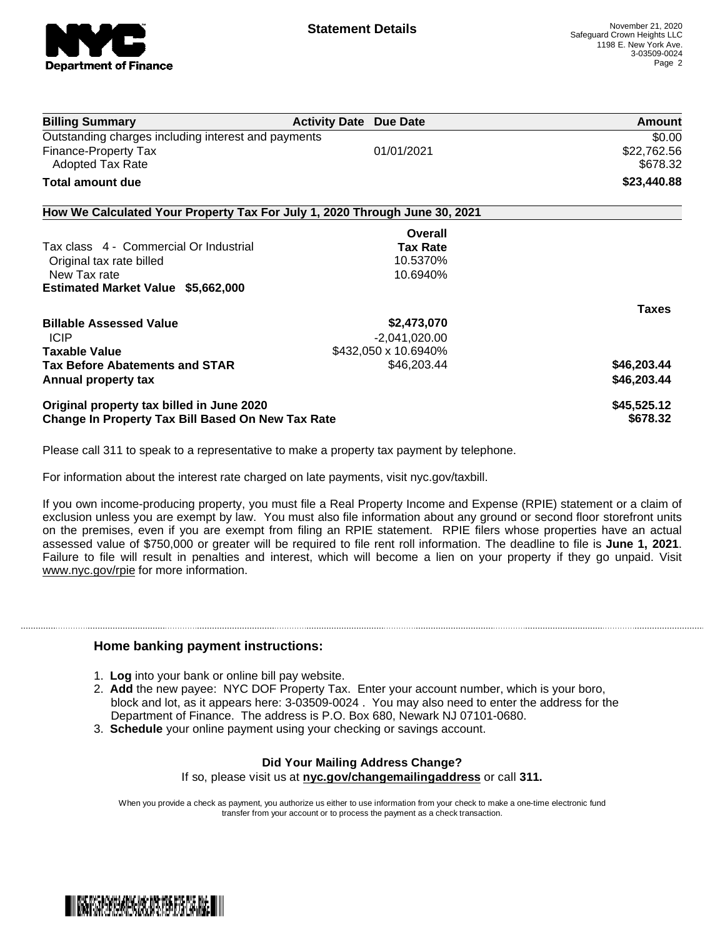

| <b>Billing Summary</b>                                                     | <b>Activity Date Due Date</b> | <b>Amount</b> |
|----------------------------------------------------------------------------|-------------------------------|---------------|
| Outstanding charges including interest and payments                        |                               | \$0.00        |
| Finance-Property Tax                                                       | 01/01/2021                    | \$22,762.56   |
| <b>Adopted Tax Rate</b>                                                    |                               | \$678.32      |
| Total amount due                                                           |                               | \$23,440.88   |
| How We Calculated Your Property Tax For July 1, 2020 Through June 30, 2021 |                               |               |
|                                                                            | Overall                       |               |
| Tax class 4 - Commercial Or Industrial                                     | <b>Tax Rate</b>               |               |
| Original tax rate billed                                                   | 10.5370%                      |               |
| New Tax rate                                                               | 10.6940%                      |               |
| Estimated Market Value \$5,662,000                                         |                               |               |
|                                                                            |                               | <b>Taxes</b>  |
| <b>Billable Assessed Value</b>                                             | \$2,473,070                   |               |
| <b>ICIP</b>                                                                | $-2,041,020.00$               |               |
| <b>Taxable Value</b>                                                       | \$432,050 x 10.6940%          |               |
| <b>Tax Before Abatements and STAR</b>                                      | \$46,203.44                   | \$46,203.44   |
| Annual property tax                                                        |                               | \$46,203.44   |
| Original property tax billed in June 2020                                  |                               | \$45,525.12   |
| Change In Property Tax Bill Based On New Tax Rate                          |                               | \$678.32      |

Please call 311 to speak to a representative to make a property tax payment by telephone.

For information about the interest rate charged on late payments, visit nyc.gov/taxbill.

If you own income-producing property, you must file a Real Property Income and Expense (RPIE) statement or a claim of exclusion unless you are exempt by law. You must also file information about any ground or second floor storefront units on the premises, even if you are exempt from filing an RPIE statement. RPIE filers whose properties have an actual assessed value of \$750,000 or greater will be required to file rent roll information. The deadline to file is **June 1, 2021**. Failure to file will result in penalties and interest, which will become a lien on your property if they go unpaid. Visit [www.nyc.gov/rpie](https://gcc01.safelinks.protection.outlook.com/?url=http%3A%2F%2Fwww.nyc.gov%2Frpie&data=04%7C01%7CNopperB%40finance.nyc.gov%7Cb5441c0febda4654c59308d871e42e3d%7C32f56fc75f814e22a95b15da66513bef%7C0%7C0%7C637384572119592751%7CUnknown%7CTWFpbGZsb3d8eyJWIjoiMC4wLjAwMDAiLCJQIjoiV2luMzIiLCJBTiI6Ik1haWwiLCJXVCI6Mn0%3D%7C1000&sdata=5r9tfjT5xGtYBarIoWvpryLYlBW%2BnkEP80XChdlWHLU%3D&reserved=0) for more information.

## **Home banking payment instructions:**

- 1. **Log** into your bank or online bill pay website.
- 2. **Add** the new payee: NYC DOF Property Tax. Enter your account number, which is your boro, block and lot, as it appears here: 3-03509-0024 . You may also need to enter the address for the Department of Finance. The address is P.O. Box 680, Newark NJ 07101-0680.
- 3. **Schedule** your online payment using your checking or savings account.

## **Did Your Mailing Address Change?** If so, please visit us at **nyc.gov/changemailingaddress** or call **311.**

When you provide a check as payment, you authorize us either to use information from your check to make a one-time electronic fund

transfer from your account or to process the payment as a check transaction.